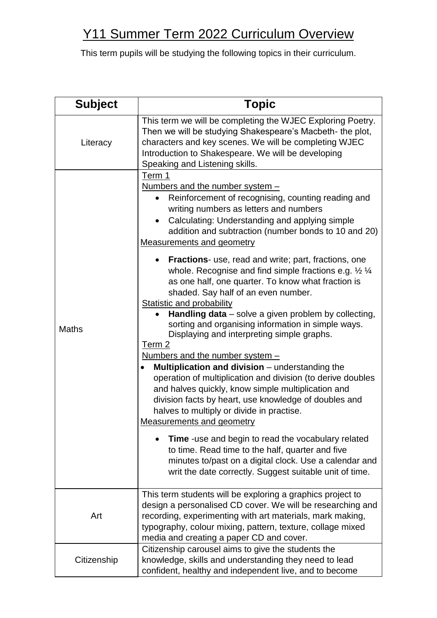| <b>Subject</b> | <b>Topic</b>                                                                                                                                                                                                                                                                                                                                                                                                                                                                                                                                                                                                                                                                                                                                                                                                                                                                                                                                                                                                                                                                                                                                                                                                                                                                                                                                                              |
|----------------|---------------------------------------------------------------------------------------------------------------------------------------------------------------------------------------------------------------------------------------------------------------------------------------------------------------------------------------------------------------------------------------------------------------------------------------------------------------------------------------------------------------------------------------------------------------------------------------------------------------------------------------------------------------------------------------------------------------------------------------------------------------------------------------------------------------------------------------------------------------------------------------------------------------------------------------------------------------------------------------------------------------------------------------------------------------------------------------------------------------------------------------------------------------------------------------------------------------------------------------------------------------------------------------------------------------------------------------------------------------------------|
| Literacy       | This term we will be completing the WJEC Exploring Poetry.<br>Then we will be studying Shakespeare's Macbeth- the plot,<br>characters and key scenes. We will be completing WJEC<br>Introduction to Shakespeare. We will be developing<br>Speaking and Listening skills.                                                                                                                                                                                                                                                                                                                                                                                                                                                                                                                                                                                                                                                                                                                                                                                                                                                                                                                                                                                                                                                                                                  |
| <b>Maths</b>   | Term 1<br>Numbers and the number system $-$<br>Reinforcement of recognising, counting reading and<br>$\bullet$<br>writing numbers as letters and numbers<br>Calculating: Understanding and applying simple<br>addition and subtraction (number bonds to 10 and 20)<br><b>Measurements and geometry</b><br>• Fractions- use, read and write; part, fractions, one<br>whole. Recognise and find simple fractions e.g. $\frac{1}{2}$ $\frac{1}{4}$<br>as one half, one quarter. To know what fraction is<br>shaded. Say half of an even number.<br><b>Statistic and probability</b><br>Handling $data$ – solve a given problem by collecting,<br>sorting and organising information in simple ways.<br>Displaying and interpreting simple graphs.<br>Term 2<br>Numbers and the number system -<br><b>Multiplication and division</b> $-$ understanding the<br>$\bullet$<br>operation of multiplication and division (to derive doubles<br>and halves quickly, know simple multiplication and<br>division facts by heart, use knowledge of doubles and<br>halves to multiply or divide in practise.<br><b>Measurements and geometry</b><br><b>Time</b> -use and begin to read the vocabulary related<br>to time. Read time to the half, quarter and five<br>minutes to/past on a digital clock. Use a calendar and<br>writ the date correctly. Suggest suitable unit of time. |
| Art            | This term students will be exploring a graphics project to<br>design a personalised CD cover. We will be researching and<br>recording, experimenting with art materials, mark making,<br>typography, colour mixing, pattern, texture, collage mixed<br>media and creating a paper CD and cover.                                                                                                                                                                                                                                                                                                                                                                                                                                                                                                                                                                                                                                                                                                                                                                                                                                                                                                                                                                                                                                                                           |
| Citizenship    | Citizenship carousel aims to give the students the<br>knowledge, skills and understanding they need to lead<br>confident, healthy and independent live, and to become                                                                                                                                                                                                                                                                                                                                                                                                                                                                                                                                                                                                                                                                                                                                                                                                                                                                                                                                                                                                                                                                                                                                                                                                     |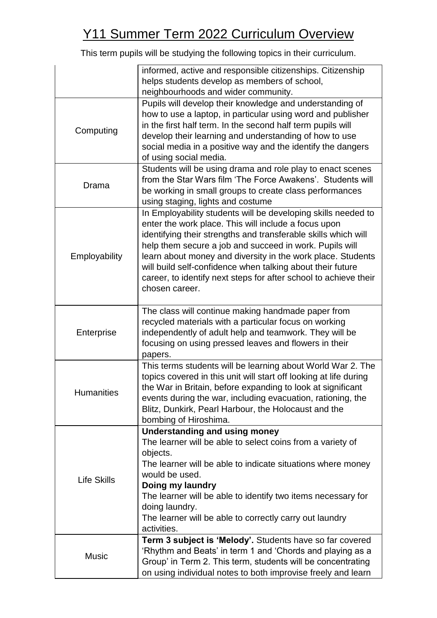|                   | informed, active and responsible citizenships. Citizenship        |
|-------------------|-------------------------------------------------------------------|
|                   | helps students develop as members of school,                      |
|                   | neighbourhoods and wider community.                               |
|                   | Pupils will develop their knowledge and understanding of          |
| Computing         | how to use a laptop, in particular using word and publisher       |
|                   | in the first half term. In the second half term pupils will       |
|                   | develop their learning and understanding of how to use            |
|                   | social media in a positive way and the identify the dangers       |
|                   | of using social media.                                            |
| Drama             | Students will be using drama and role play to enact scenes        |
|                   | from the Star Wars film 'The Force Awakens'. Students will        |
|                   | be working in small groups to create class performances           |
|                   | using staging, lights and costume                                 |
|                   | In Employability students will be developing skills needed to     |
|                   | enter the work place. This will include a focus upon              |
|                   | identifying their strengths and transferable skills which will    |
|                   | help them secure a job and succeed in work. Pupils will           |
| Employability     | learn about money and diversity in the work place. Students       |
|                   | will build self-confidence when talking about their future        |
|                   | career, to identify next steps for after school to achieve their  |
|                   | chosen career.                                                    |
|                   |                                                                   |
|                   | The class will continue making handmade paper from                |
| Enterprise        | recycled materials with a particular focus on working             |
|                   | independently of adult help and teamwork. They will be            |
|                   | focusing on using pressed leaves and flowers in their             |
|                   | papers.                                                           |
|                   | This terms students will be learning about World War 2. The       |
|                   | topics covered in this unit will start off looking at life during |
| <b>Humanities</b> | the War in Britain, before expanding to look at significant       |
|                   | events during the war, including evacuation, rationing, the       |
|                   | Blitz, Dunkirk, Pearl Harbour, the Holocaust and the              |
|                   | bombing of Hiroshima.                                             |
|                   | <b>Understanding and using money</b>                              |
|                   | The learner will be able to select coins from a variety of        |
|                   | objects.                                                          |
|                   | The learner will be able to indicate situations where money       |
| Life Skills       | would be used.                                                    |
|                   | Doing my laundry                                                  |
|                   | The learner will be able to identify two items necessary for      |
|                   | doing laundry.                                                    |
|                   | The learner will be able to correctly carry out laundry           |
|                   | activities.                                                       |
| <b>Music</b>      | Term 3 subject is 'Melody'. Students have so far covered          |
|                   | 'Rhythm and Beats' in term 1 and 'Chords and playing as a         |
|                   | Group' in Term 2. This term, students will be concentrating       |
|                   | on using individual notes to both improvise freely and learn      |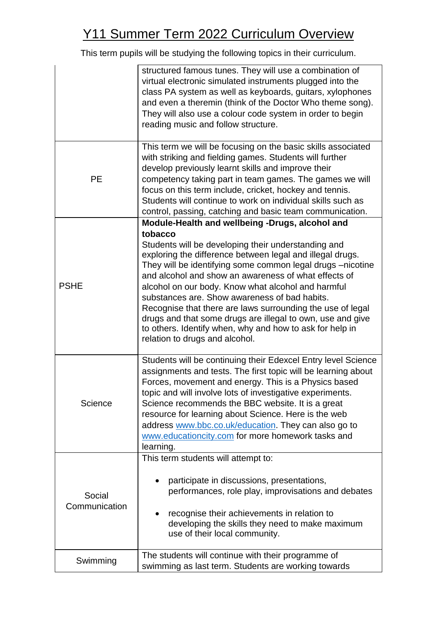|                         | structured famous tunes. They will use a combination of<br>virtual electronic simulated instruments plugged into the<br>class PA system as well as keyboards, guitars, xylophones<br>and even a theremin (think of the Doctor Who theme song).<br>They will also use a colour code system in order to begin<br>reading music and follow structure.                                                                                                                                                                                                                                                                                    |
|-------------------------|---------------------------------------------------------------------------------------------------------------------------------------------------------------------------------------------------------------------------------------------------------------------------------------------------------------------------------------------------------------------------------------------------------------------------------------------------------------------------------------------------------------------------------------------------------------------------------------------------------------------------------------|
| <b>PE</b>               | This term we will be focusing on the basic skills associated<br>with striking and fielding games. Students will further<br>develop previously learnt skills and improve their<br>competency taking part in team games. The games we will<br>focus on this term include, cricket, hockey and tennis.<br>Students will continue to work on individual skills such as<br>control, passing, catching and basic team communication.                                                                                                                                                                                                        |
| <b>PSHE</b>             | Module-Health and wellbeing -Drugs, alcohol and<br>tobacco<br>Students will be developing their understanding and<br>exploring the difference between legal and illegal drugs.<br>They will be identifying some common legal drugs -nicotine<br>and alcohol and show an awareness of what effects of<br>alcohol on our body. Know what alcohol and harmful<br>substances are. Show awareness of bad habits.<br>Recognise that there are laws surrounding the use of legal<br>drugs and that some drugs are illegal to own, use and give<br>to others. Identify when, why and how to ask for help in<br>relation to drugs and alcohol. |
| Science                 | Students will be continuing their Edexcel Entry level Science<br>assignments and tests. The first topic will be learning about<br>Forces, movement and energy. This is a Physics based<br>topic and will involve lots of investigative experiments.<br>Science recommends the BBC website. It is a great<br>resource for learning about Science. Here is the web<br>address www.bbc.co.uk/education. They can also go to<br>www.educationcity.com for more homework tasks and<br>learning.                                                                                                                                            |
| Social<br>Communication | This term students will attempt to:<br>participate in discussions, presentations,<br>performances, role play, improvisations and debates<br>recognise their achievements in relation to<br>developing the skills they need to make maximum<br>use of their local community.                                                                                                                                                                                                                                                                                                                                                           |
| Swimming                | The students will continue with their programme of<br>swimming as last term. Students are working towards                                                                                                                                                                                                                                                                                                                                                                                                                                                                                                                             |